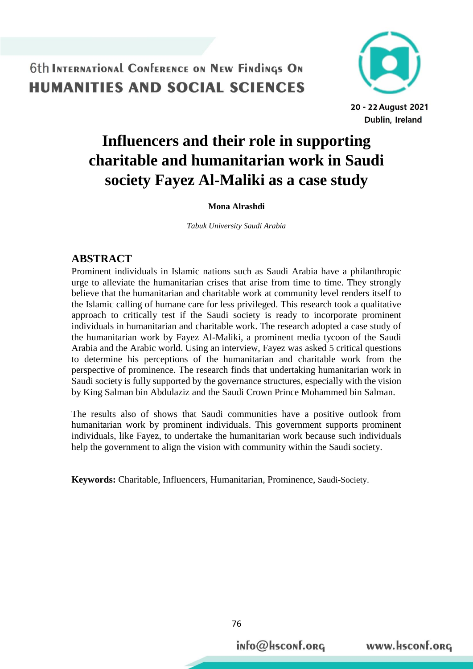

# **Influencers and their role in supporting charitable and humanitarian work in Saudi society Fayez Al-Maliki as a case study**

#### **Mona Alrashdi**

*Tabuk University Saudi Arabia* 

#### **ABSTRACT**

Prominent individuals in Islamic nations such as Saudi Arabia have a philanthropic urge to alleviate the humanitarian crises that arise from time to time. They strongly believe that the humanitarian and charitable work at community level renders itself to the Islamic calling of humane care for less privileged. This research took a qualitative approach to critically test if the Saudi society is ready to incorporate prominent individuals in humanitarian and charitable work. The research adopted a case study of the humanitarian work by Fayez Al-Maliki, a prominent media tycoon of the Saudi Arabia and the Arabic world. Using an interview, Fayez was asked 5 critical questions to determine his perceptions of the humanitarian and charitable work from the perspective of prominence. The research finds that undertaking humanitarian work in Saudi society is fully supported by the governance structures, especially with the vision by King Salman bin Abdulaziz and the Saudi Crown Prince Mohammed bin Salman.

The results also of shows that Saudi communities have a positive outlook from humanitarian work by prominent individuals. This government supports prominent individuals, like Fayez, to undertake the humanitarian work because such individuals help the government to align the vision with community within the Saudi society.

**Keywords:** Charitable, Influencers, Humanitarian, Prominence, Saudi-Society.

76

info@Hsconf.org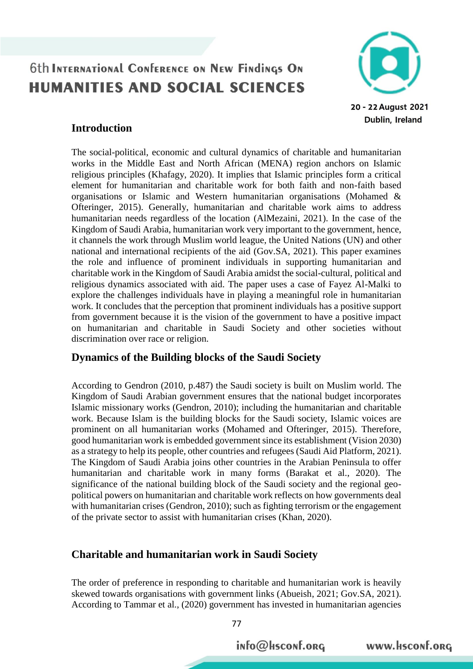

### **Introduction**

The social-political, economic and cultural dynamics of charitable and humanitarian works in the Middle East and North African (MENA) region anchors on Islamic religious principles (Khafagy, 2020). It implies that Islamic principles form a critical element for humanitarian and charitable work for both faith and non-faith based organisations or Islamic and Western humanitarian organisations (Mohamed & Ofteringer, 2015). Generally, humanitarian and charitable work aims to address humanitarian needs regardless of the location (AlMezaini, 2021). In the case of the Kingdom of Saudi Arabia, humanitarian work very important to the government, hence, it channels the work through Muslim world league, the United Nations (UN) and other national and international recipients of the aid (Gov.SA, 2021). This paper examines the role and influence of prominent individuals in supporting humanitarian and charitable work in the Kingdom of Saudi Arabia amidst the social-cultural, political and religious dynamics associated with aid. The paper uses a case of Fayez Al-Malki to explore the challenges individuals have in playing a meaningful role in humanitarian work. It concludes that the perception that prominent individuals has a positive support from government because it is the vision of the government to have a positive impact on humanitarian and charitable in Saudi Society and other societies without discrimination over race or religion.

### **Dynamics of the Building blocks of the Saudi Society**

According to Gendron (2010, p.487) the Saudi society is built on Muslim world. The Kingdom of Saudi Arabian government ensures that the national budget incorporates Islamic missionary works (Gendron, 2010); including the humanitarian and charitable work. Because Islam is the building blocks for the Saudi society, Islamic voices are prominent on all humanitarian works (Mohamed and Ofteringer, 2015). Therefore, good humanitarian work is embedded government since its establishment (Vision 2030) as a strategy to help its people, other countries and refugees (Saudi Aid Platform, 2021). The Kingdom of Saudi Arabia joins other countries in the Arabian Peninsula to offer humanitarian and charitable work in many forms (Barakat et al., 2020). The significance of the national building block of the Saudi society and the regional geopolitical powers on humanitarian and charitable work reflects on how governments deal with humanitarian crises (Gendron, 2010); such as fighting terrorism or the engagement of the private sector to assist with humanitarian crises (Khan, 2020).

### **Charitable and humanitarian work in Saudi Society**

The order of preference in responding to charitable and humanitarian work is heavily skewed towards organisations with government links (Abueish, 2021; Gov.SA, 2021). According to Tammar et al., (2020) government has invested in humanitarian agencies

info@Hsconf.org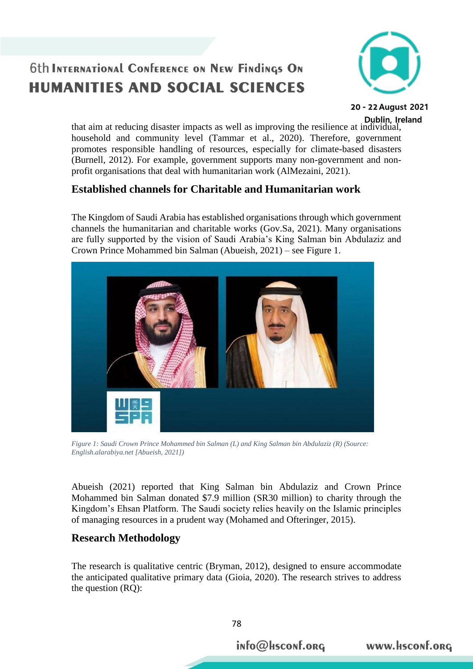## **6th INTERNATIONAL CONFERENCE ON NEW FINDINGS ON HUMANITIES AND SOCIAL SCIENCES**



20 - 22 August 2021

that aim at reducing disaster impacts as well as improving the resilience at individual, household and community level (Tammar et al., 2020). Therefore, government promotes responsible handling of resources, especially for climate-based disasters (Burnell, 2012). For example, government supports many non-government and nonprofit organisations that deal with humanitarian work (AlMezaini, 2021).

### **Established channels for Charitable and Humanitarian work**

The Kingdom of Saudi Arabia has established organisations through which government channels the humanitarian and charitable works (Gov.Sa, 2021). Many organisations are fully supported by the vision of Saudi Arabia's King Salman bin Abdulaziz and Crown Prince Mohammed bin Salman (Abueish, 2021) – see Figure 1.



*Figure 1: Saudi Crown Prince Mohammed bin Salman (L) and King Salman bin Abdulaziz (R) (Source: English.alarabiya.net [Abueish, 2021])*

Abueish (2021) reported that King Salman bin Abdulaziz and Crown Prince Mohammed bin Salman donated \$7.9 million (SR30 million) to charity through the Kingdom's Ehsan Platform. The Saudi society relies heavily on the Islamic principles of managing resources in a prudent way (Mohamed and Ofteringer, 2015).

### **Research Methodology**

The research is qualitative centric (Bryman, 2012), designed to ensure accommodate the anticipated qualitative primary data (Gioia, 2020). The research strives to address the question (RQ):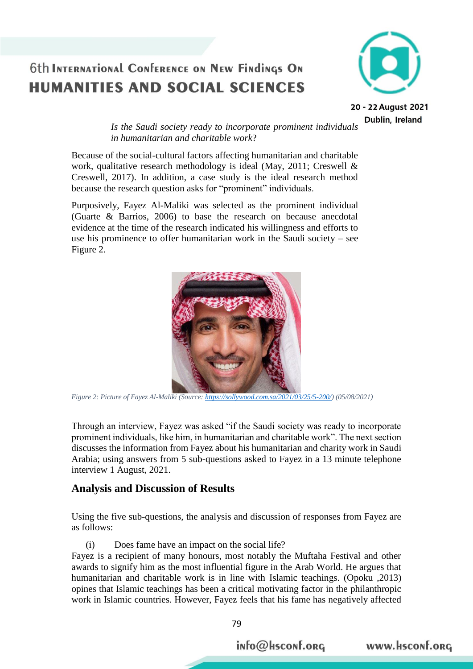### **6th INTERNATIONAL CONFERENCE ON NEW FINDINGS ON HUMANITIES AND SOCIAL SCIENCES**



20 - 22 August 2021 Dublin, Ireland

*Is the Saudi society ready to incorporate prominent individuals in humanitarian and charitable work*?

Because of the social-cultural factors affecting humanitarian and charitable work, qualitative research methodology is ideal (May, 2011; Creswell & Creswell, 2017). In addition, a case study is the ideal research method because the research question asks for "prominent" individuals.

Purposively, Fayez Al-Maliki was selected as the prominent individual (Guarte & Barrios, 2006) to base the research on because anecdotal evidence at the time of the research indicated his willingness and efforts to use his prominence to offer humanitarian work in the Saudi society – see Figure 2.



*Figure 2: Picture of Fayez Al-Maliki (Source: [https://sollywood.com.sa/2021/03/25/5-200/\)](https://sollywood.com.sa/2021/03/25/5-200/) (05/08/2021)*

Through an interview, Fayez was asked "if the Saudi society was ready to incorporate prominent individuals, like him, in humanitarian and charitable work". The next section discusses the information from Fayez about his humanitarian and charity work in Saudi Arabia; using answers from 5 sub-questions asked to Fayez in a 13 minute telephone interview 1 August, 2021.

#### **Analysis and Discussion of Results**

Using the five sub-questions, the analysis and discussion of responses from Fayez are as follows:

(i) Does fame have an impact on the social life?

Fayez is a recipient of many honours, most notably the Muftaha Festival and other awards to signify him as the most influential figure in the Arab World. He argues that humanitarian and charitable work is in line with Islamic teachings. (Opoku ,2013) opines that Islamic teachings has been a critical motivating factor in the philanthropic work in Islamic countries. However, Fayez feels that his fame has negatively affected

info@hsconf.org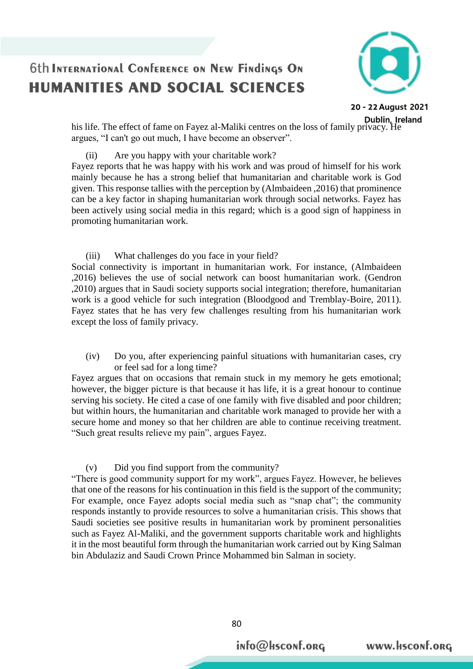

20 - 22 August 2021

www.Hsconf.org

his life. The effect of fame on Fayez al-Maliki centres on the loss of family privacy. He argues, "I can't go out much, I have become an observer".

(ii) Are you happy with your charitable work?

Fayez reports that he was happy with his work and was proud of himself for his work mainly because he has a strong belief that humanitarian and charitable work is God given. This response tallies with the perception by (Almbaideen ,2016) that prominence can be a key factor in shaping humanitarian work through social networks. Fayez has been actively using social media in this regard; which is a good sign of happiness in promoting humanitarian work.

(iii) What challenges do you face in your field? Social connectivity is important in humanitarian work. For instance, (Almbaideen ,2016) believes the use of social network can boost humanitarian work. (Gendron ,2010) argues that in Saudi society supports social integration; therefore, humanitarian work is a good vehicle for such integration (Bloodgood and Tremblay-Boire, 2011). Fayez states that he has very few challenges resulting from his humanitarian work except the loss of family privacy.

(iv) Do you, after experiencing painful situations with humanitarian cases, cry or feel sad for a long time?

Fayez argues that on occasions that remain stuck in my memory he gets emotional; however, the bigger picture is that because it has life, it is a great honour to continue serving his society. He cited a case of one family with five disabled and poor children; but within hours, the humanitarian and charitable work managed to provide her with a secure home and money so that her children are able to continue receiving treatment. "Such great results relieve my pain", argues Fayez.

(v) Did you find support from the community?

"There is good community support for my work", argues Fayez. However, he believes that one of the reasons for his continuation in this field is the support of the community; For example, once Fayez adopts social media such as "snap chat"; the community responds instantly to provide resources to solve a humanitarian crisis. This shows that Saudi societies see positive results in humanitarian work by prominent personalities such as Fayez Al-Maliki, and the government supports charitable work and highlights it in the most beautiful form through the humanitarian work carried out by King Salman bin Abdulaziz and Saudi Crown Prince Mohammed bin Salman in society.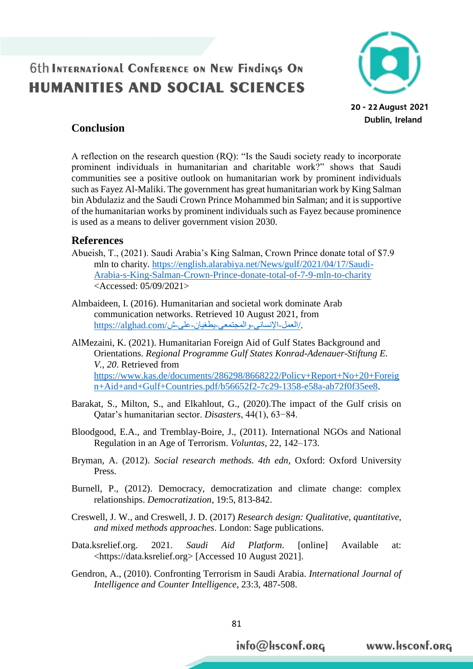### **6th INTERNATIONAL CONFERENCE ON NEW FINDINGS ON HUMANITIES AND SOCIAL SCIENCES**



#### **Conclusion**

A reflection on the research question (RQ): "Is the Saudi society ready to incorporate prominent individuals in humanitarian and charitable work?" shows that Saudi communities see a positive outlook on humanitarian work by prominent individuals such as Fayez Al-Maliki. The government has great humanitarian work by King Salman bin Abdulaziz and the Saudi Crown Prince Mohammed bin Salman; and it is supportive of the humanitarian works by prominent individuals such as Fayez because prominence is used as a means to deliver government vision 2030.

#### **References**

- Abueish, T., (2021). Saudi Arabia's King Salman, Crown Prince donate total of \$7.9 mln to charity. [https://english.alarabiya.net/News/gulf/2021/04/17/Saudi-](https://english.alarabiya.net/News/gulf/2021/04/17/Saudi-Arabia-s-King-Salman-Crown-Prince-donate-total-of-7-9-mln-to-charity)[Arabia-s-King-Salman-Crown-Prince-donate-total-of-7-9-mln-to-charity](https://english.alarabiya.net/News/gulf/2021/04/17/Saudi-Arabia-s-King-Salman-Crown-Prince-donate-total-of-7-9-mln-to-charity) <Accessed: 05/09/2021>
- Almbaideen, I. (2016). Humanitarian and societal work dominate Arab communication networks. Retrieved 10 August 2021, from /العمل-الإنساني-والمجتمعي-يطغيان-على-ش/alghad.com.
- AlMezaini, K. (2021). Humanitarian Foreign Aid of Gulf States Background and Orientations. *Regional Programme Gulf States Konrad-Adenauer-Stiftung E. V.*, *20*. Retrieved from [https://www.kas.de/documents/286298/8668222/Policy+Report+No+20+Foreig](https://www.kas.de/documents/286298/8668222/Policy+Report+No+20+Foreign+Aid+and+Gulf+Countries.pdf/b56652f2-7c29-1358-e58a-ab72f0f35ee8) [n+Aid+and+Gulf+Countries.pdf/b56652f2-7c29-1358-e58a-ab72f0f35ee8.](https://www.kas.de/documents/286298/8668222/Policy+Report+No+20+Foreign+Aid+and+Gulf+Countries.pdf/b56652f2-7c29-1358-e58a-ab72f0f35ee8)
- Barakat, S., Milton, S., and Elkahlout, G., (2020).The impact of the Gulf crisis on Qatar's humanitarian sector. *Disasters*, 44(1), 63−84.
- Bloodgood, E.A., and Tremblay-Boire, J., (2011). International NGOs and National Regulation in an Age of Terrorism. *Voluntas*, 22, 142–173.
- Bryman, A. (2012). *Social research methods. 4th edn*, Oxford: Oxford University Press.
- Burnell, P., (2012). Democracy, democratization and climate change: complex relationships. *Democratization*, 19:5, 813-842.
- Creswell, J. W., and Creswell, J. D. (2017) *Research design: Qualitative, quantitative, and mixed methods approaches*. London: Sage publications.
- Data.ksrelief.org. 2021. *Saudi Aid Platform*. [online] Available at: <https://data.ksrelief.org> [Accessed 10 August 2021].
- Gendron, A., (2010). Confronting Terrorism in Saudi Arabia. *International Journal of Intelligence and Counter Intelligence*, 23:3, 487-508.